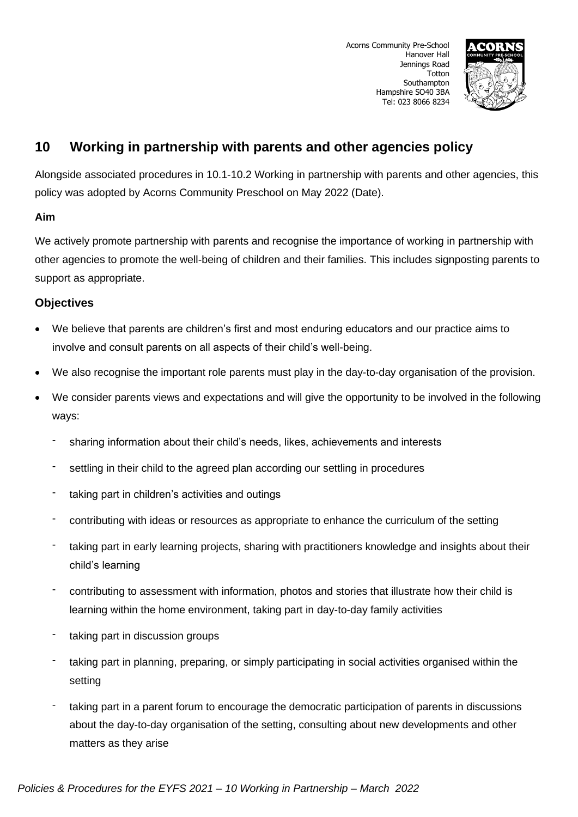

# **10 Working in partnership with parents and other agencies policy**

Alongside associated procedures in 10.1-10.2 Working in partnership with parents and other agencies, this policy was adopted by Acorns Community Preschool on May 2022 (Date).

## **Aim**

We actively promote partnership with parents and recognise the importance of working in partnership with other agencies to promote the well-being of children and their families. This includes signposting parents to support as appropriate.

## **Objectives**

- We believe that parents are children's first and most enduring educators and our practice aims to involve and consult parents on all aspects of their child's well-being.
- We also recognise the important role parents must play in the day-to-day organisation of the provision.
- We consider parents views and expectations and will give the opportunity to be involved in the following ways:
	- sharing information about their child's needs, likes, achievements and interests
	- settling in their child to the agreed plan according our settling in procedures
	- taking part in children's activities and outings
	- contributing with ideas or resources as appropriate to enhance the curriculum of the setting
	- taking part in early learning projects, sharing with practitioners knowledge and insights about their child's learning
	- contributing to assessment with information, photos and stories that illustrate how their child is learning within the home environment, taking part in day-to-day family activities
	- taking part in discussion groups
	- taking part in planning, preparing, or simply participating in social activities organised within the setting
	- taking part in a parent forum to encourage the democratic participation of parents in discussions about the day-to-day organisation of the setting, consulting about new developments and other matters as they arise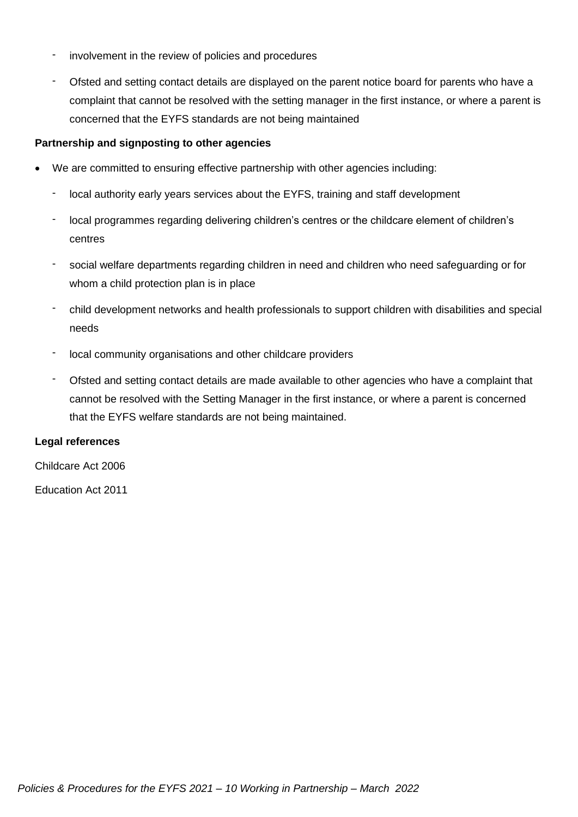- involvement in the review of policies and procedures
- Ofsted and setting contact details are displayed on the parent notice board for parents who have a complaint that cannot be resolved with the setting manager in the first instance, or where a parent is concerned that the EYFS standards are not being maintained

### **Partnership and signposting to other agencies**

- We are committed to ensuring effective partnership with other agencies including:
	- local authority early years services about the EYFS, training and staff development
	- local programmes regarding delivering children's centres or the childcare element of children's centres
	- social welfare departments regarding children in need and children who need safeguarding or for whom a child protection plan is in place
	- child development networks and health professionals to support children with disabilities and special needs
	- local community organisations and other childcare providers
	- Ofsted and setting contact details are made available to other agencies who have a complaint that cannot be resolved with the Setting Manager in the first instance, or where a parent is concerned that the EYFS welfare standards are not being maintained.

#### **Legal references**

Childcare Act 2006

Education Act 2011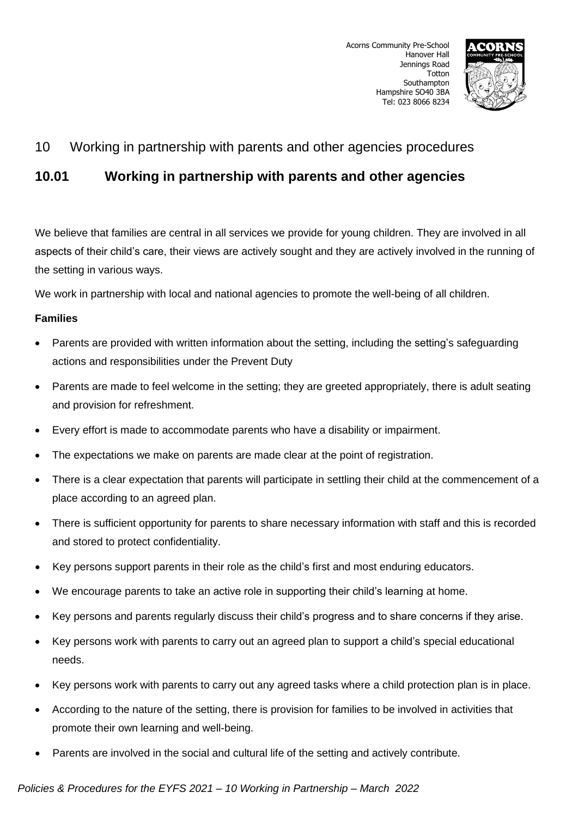

# 10 Working in partnership with parents and other agencies procedures

# **10.01 Working in partnership with parents and other agencies**

We believe that families are central in all services we provide for young children. They are involved in all aspects of their child's care, their views are actively sought and they are actively involved in the running of the setting in various ways.

We work in partnership with local and national agencies to promote the well-being of all children.

### **Families**

- Parents are provided with written information about the setting, including the setting's safeguarding actions and responsibilities under the Prevent Duty
- Parents are made to feel welcome in the setting; they are greeted appropriately, there is adult seating and provision for refreshment.
- Every effort is made to accommodate parents who have a disability or impairment.
- The expectations we make on parents are made clear at the point of registration.
- There is a clear expectation that parents will participate in settling their child at the commencement of a place according to an agreed plan.
- There is sufficient opportunity for parents to share necessary information with staff and this is recorded and stored to protect confidentiality.
- Key persons support parents in their role as the child's first and most enduring educators.
- We encourage parents to take an active role in supporting their child's learning at home.
- Key persons and parents regularly discuss their child's progress and to share concerns if they arise.
- Key persons work with parents to carry out an agreed plan to support a child's special educational needs.
- Key persons work with parents to carry out any agreed tasks where a child protection plan is in place.
- According to the nature of the setting, there is provision for families to be involved in activities that promote their own learning and well-being.
- Parents are involved in the social and cultural life of the setting and actively contribute.

## *Policies & Procedures for the EYFS 2021 – 10 Working in Partnership – March 2022*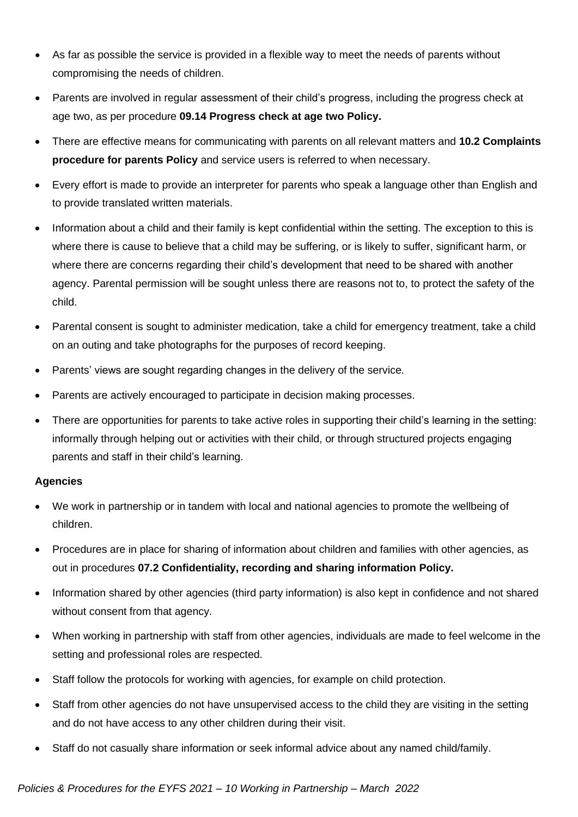- As far as possible the service is provided in a flexible way to meet the needs of parents without compromising the needs of children.
- Parents are involved in regular assessment of their child's progress, including the progress check at age two, as per procedure **09.14 Progress check at age two Policy.**
- There are effective means for communicating with parents on all relevant matters and **10.2 Complaints procedure for parents Policy** and service users is referred to when necessary.
- Every effort is made to provide an interpreter for parents who speak a language other than English and to provide translated written materials.
- Information about a child and their family is kept confidential within the setting. The exception to this is where there is cause to believe that a child may be suffering, or is likely to suffer, significant harm, or where there are concerns regarding their child's development that need to be shared with another agency. Parental permission will be sought unless there are reasons not to, to protect the safety of the child.
- Parental consent is sought to administer medication, take a child for emergency treatment, take a child on an outing and take photographs for the purposes of record keeping.
- Parents' views are sought regarding changes in the delivery of the service.
- Parents are actively encouraged to participate in decision making processes.
- There are opportunities for parents to take active roles in supporting their child's learning in the setting: informally through helping out or activities with their child, or through structured projects engaging parents and staff in their child's learning.

### **Agencies**

- We work in partnership or in tandem with local and national agencies to promote the wellbeing of children.
- Procedures are in place for sharing of information about children and families with other agencies, as out in procedures **07.2 Confidentiality, recording and sharing information Policy.**
- Information shared by other agencies (third party information) is also kept in confidence and not shared without consent from that agency.
- When working in partnership with staff from other agencies, individuals are made to feel welcome in the setting and professional roles are respected.
- Staff follow the protocols for working with agencies, for example on child protection.
- Staff from other agencies do not have unsupervised access to the child they are visiting in the setting and do not have access to any other children during their visit.
- Staff do not casually share information or seek informal advice about any named child/family.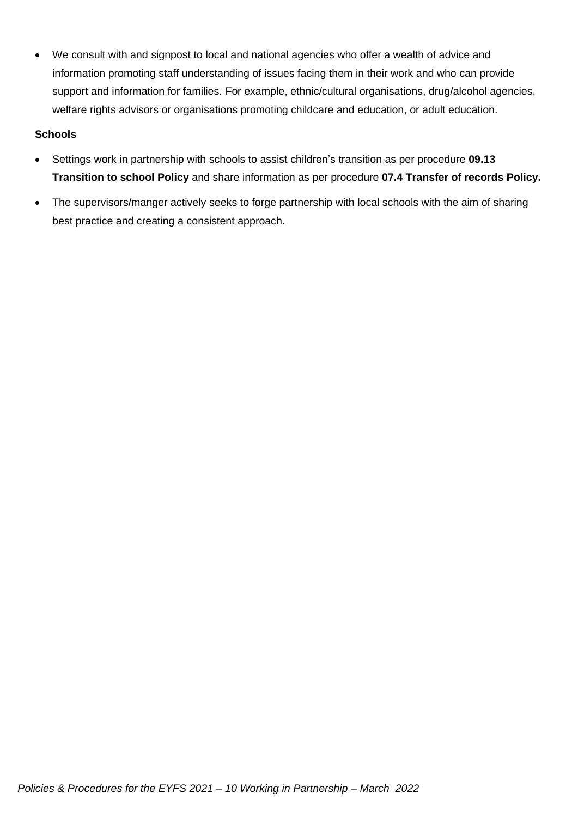• We consult with and signpost to local and national agencies who offer a wealth of advice and information promoting staff understanding of issues facing them in their work and who can provide support and information for families. For example, ethnic/cultural organisations, drug/alcohol agencies, welfare rights advisors or organisations promoting childcare and education, or adult education.

### **Schools**

- Settings work in partnership with schools to assist children's transition as per procedure **09.13 Transition to school Policy** and share information as per procedure **07.4 Transfer of records Policy.**
- The supervisors/manger actively seeks to forge partnership with local schools with the aim of sharing best practice and creating a consistent approach.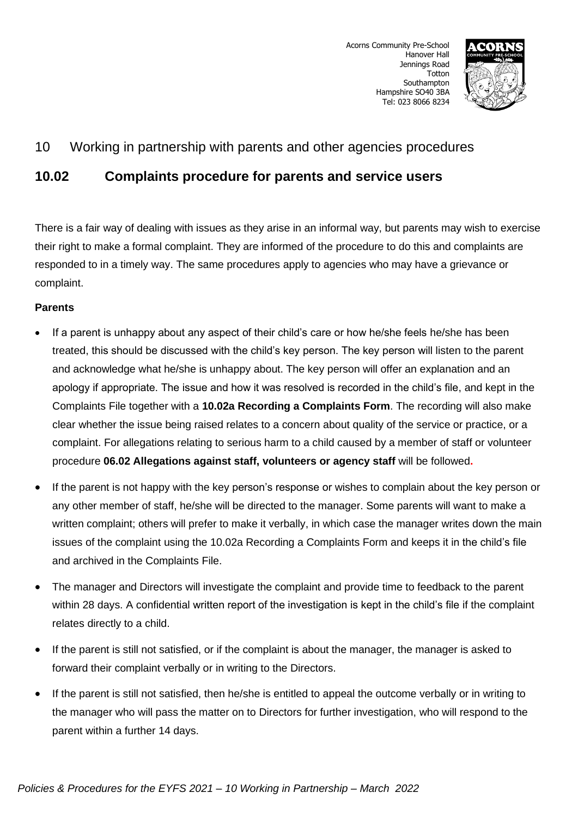

## 10 Working in partnership with parents and other agencies procedures

# **10.02 Complaints procedure for parents and service users**

There is a fair way of dealing with issues as they arise in an informal way, but parents may wish to exercise their right to make a formal complaint. They are informed of the procedure to do this and complaints are responded to in a timely way. The same procedures apply to agencies who may have a grievance or complaint.

## **Parents**

- If a parent is unhappy about any aspect of their child's care or how he/she feels he/she has been treated, this should be discussed with the child's key person. The key person will listen to the parent and acknowledge what he/she is unhappy about. The key person will offer an explanation and an apology if appropriate. The issue and how it was resolved is recorded in the child's file, and kept in the Complaints File together with a **10.02a Recording a Complaints Form**. The recording will also make clear whether the issue being raised relates to a concern about quality of the service or practice, or a complaint. For allegations relating to serious harm to a child caused by a member of staff or volunteer procedure **06.02 Allegations against staff, volunteers or agency staff** will be followed**.**
- If the parent is not happy with the key person's response or wishes to complain about the key person or any other member of staff, he/she will be directed to the manager. Some parents will want to make a written complaint; others will prefer to make it verbally, in which case the manager writes down the main issues of the complaint using the 10.02a Recording a Complaints Form and keeps it in the child's file and archived in the Complaints File.
- The manager and Directors will investigate the complaint and provide time to feedback to the parent within 28 days. A confidential written report of the investigation is kept in the child's file if the complaint relates directly to a child.
- If the parent is still not satisfied, or if the complaint is about the manager, the manager is asked to forward their complaint verbally or in writing to the Directors.
- If the parent is still not satisfied, then he/she is entitled to appeal the outcome verbally or in writing to the manager who will pass the matter on to Directors for further investigation, who will respond to the parent within a further 14 days.